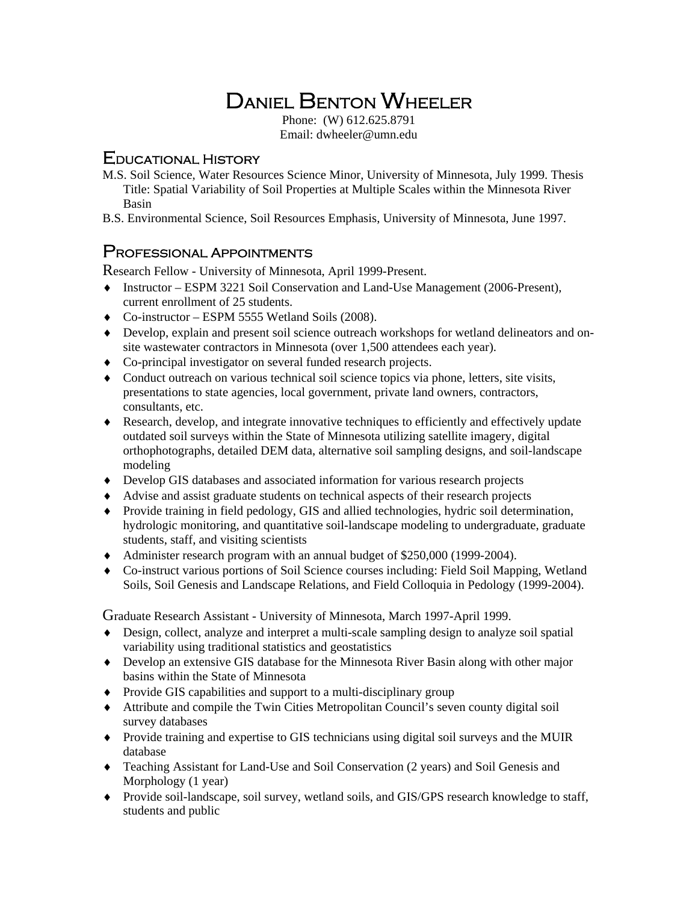# Daniel Benton Wheeler

Phone: (W) 612.625.8791 Email: dwheeler@umn.edu

## Educational History

- M.S. Soil Science, Water Resources Science Minor, University of Minnesota, July 1999. Thesis Title: Spatial Variability of Soil Properties at Multiple Scales within the Minnesota River Basin
- B.S. Environmental Science, Soil Resources Emphasis, University of Minnesota, June 1997.

### Professional Appointments

Research Fellow *-* University of Minnesota, April 1999-Present.

- Instructor ESPM 3221 Soil Conservation and Land-Use Management (2006-Present), current enrollment of 25 students.
- Co-instructor ESPM 5555 Wetland Soils (2008).
- Develop, explain and present soil science outreach workshops for wetland delineators and onsite wastewater contractors in Minnesota (over 1,500 attendees each year).
- Co-principal investigator on several funded research projects.
- Conduct outreach on various technical soil science topics via phone, letters, site visits, presentations to state agencies, local government, private land owners, contractors, consultants, etc.
- Research, develop, and integrate innovative techniques to efficiently and effectively update outdated soil surveys within the State of Minnesota utilizing satellite imagery, digital orthophotographs, detailed DEM data, alternative soil sampling designs, and soil-landscape modeling
- Develop GIS databases and associated information for various research projects
- Advise and assist graduate students on technical aspects of their research projects
- Provide training in field pedology, GIS and allied technologies, hydric soil determination, hydrologic monitoring, and quantitative soil-landscape modeling to undergraduate, graduate students, staff, and visiting scientists
- Administer research program with an annual budget of \$250,000 (1999-2004).
- Co-instruct various portions of Soil Science courses including: Field Soil Mapping, Wetland Soils, Soil Genesis and Landscape Relations, and Field Colloquia in Pedology (1999-2004).

Graduate Research Assistant - University of Minnesota, March 1997-April 1999.

- Design, collect, analyze and interpret a multi-scale sampling design to analyze soil spatial variability using traditional statistics and geostatistics
- Develop an extensive GIS database for the Minnesota River Basin along with other major basins within the State of Minnesota
- Provide GIS capabilities and support to a multi-disciplinary group
- Attribute and compile the Twin Cities Metropolitan Council's seven county digital soil survey databases
- Provide training and expertise to GIS technicians using digital soil surveys and the MUIR database
- Teaching Assistant for Land-Use and Soil Conservation (2 years) and Soil Genesis and Morphology (1 year)
- Provide soil-landscape, soil survey, wetland soils, and GIS/GPS research knowledge to staff, students and public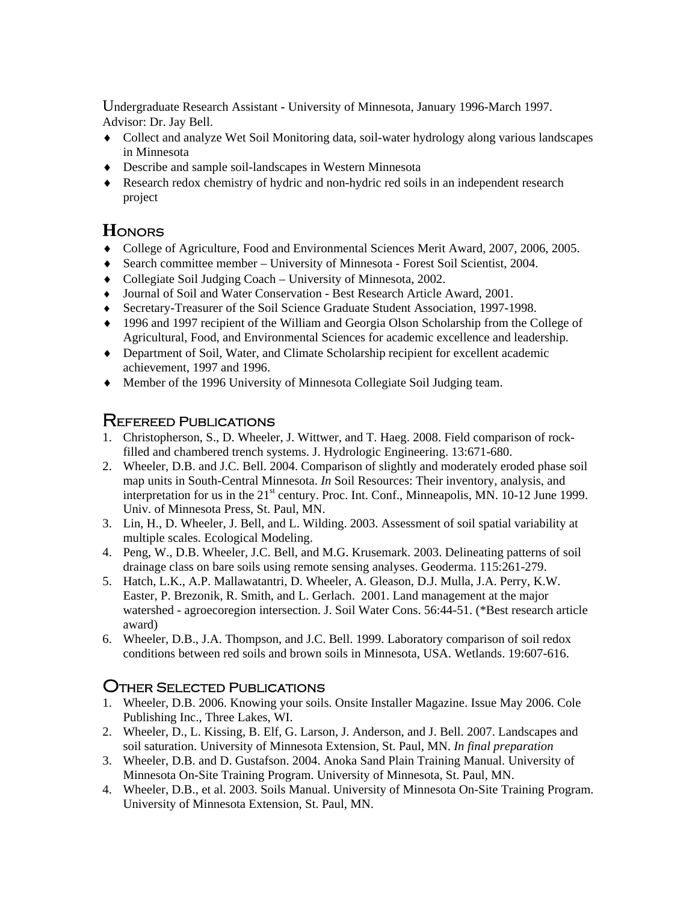Undergraduate Research Assistant **-** University of Minnesota, January 1996-March 1997. Advisor: Dr. Jay Bell.

- Collect and analyze Wet Soil Monitoring data, soil-water hydrology along various landscapes in Minnesota
- Describe and sample soil-landscapes in Western Minnesota
- Research redox chemistry of hydric and non-hydric red soils in an independent research project

# **H**onors

- College of Agriculture, Food and Environmental Sciences Merit Award, 2007, 2006, 2005.
- Search committee member University of Minnesota Forest Soil Scientist, 2004.
- Collegiate Soil Judging Coach University of Minnesota, 2002.
- Journal of Soil and Water Conservation Best Research Article Award, 2001.
- Secretary-Treasurer of the Soil Science Graduate Student Association, 1997-1998.
- 1996 and 1997 recipient of the William and Georgia Olson Scholarship from the College of Agricultural, Food, and Environmental Sciences for academic excellence and leadership.
- Department of Soil, Water, and Climate Scholarship recipient for excellent academic achievement, 1997 and 1996.
- Member of the 1996 University of Minnesota Collegiate Soil Judging team.

## Refereed Publications

- 1. Christopherson, S., D. Wheeler, J. Wittwer, and T. Haeg. 2008. Field comparison of rockfilled and chambered trench systems. J. Hydrologic Engineering. 13:671-680.
- 2. Wheeler, D.B. and J.C. Bell. 2004. Comparison of slightly and moderately eroded phase soil map units in South-Central Minnesota. *In* Soil Resources: Their inventory, analysis, and interpretation for us in the 21<sup>st</sup> century. Proc. Int. Conf., Minneapolis, MN. 10-12 June 1999. Univ. of Minnesota Press, St. Paul, MN.
- 3. Lin, H., D. Wheeler, J. Bell, and L. Wilding. 2003. Assessment of soil spatial variability at multiple scales. Ecological Modeling.
- 4. Peng, W., D.B. Wheeler, J.C. Bell, and M.G. Krusemark. 2003. Delineating patterns of soil drainage class on bare soils using remote sensing analyses. Geoderma. 115:261-279.
- 5. Hatch, L.K., A.P. Mallawatantri, D. Wheeler, A. Gleason, D.J. Mulla, J.A. Perry, K.W. Easter, P. Brezonik, R. Smith, and L. Gerlach. 2001. Land management at the major watershed - agroecoregion intersection. J. Soil Water Cons. 56:44-51. (\*Best research article award)
- 6. Wheeler, D.B., J.A. Thompson, and J.C. Bell. 1999. Laboratory comparison of soil redox conditions between red soils and brown soils in Minnesota, USA. Wetlands. 19:607-616.

## Other Selected Publications

- 1. Wheeler, D.B. 2006. Knowing your soils. Onsite Installer Magazine. Issue May 2006. Cole Publishing Inc., Three Lakes, WI.
- 2. Wheeler, D., L. Kissing, B. Elf, G. Larson, J. Anderson, and J. Bell. 2007. Landscapes and soil saturation. University of Minnesota Extension, St. Paul, MN. *In final preparation*
- 3. Wheeler, D.B. and D. Gustafson. 2004. Anoka Sand Plain Training Manual. University of Minnesota On-Site Training Program. University of Minnesota, St. Paul, MN.
- 4. Wheeler, D.B., et al. 2003. Soils Manual. University of Minnesota On-Site Training Program. University of Minnesota Extension, St. Paul, MN.